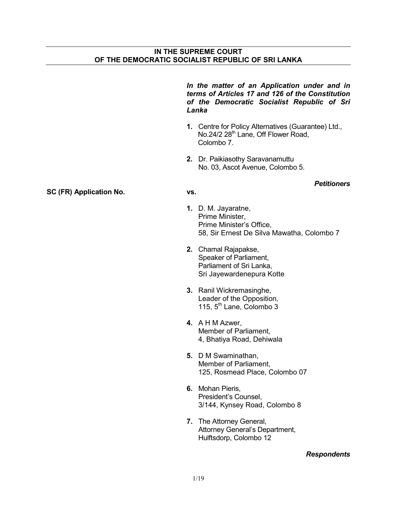*In the matter of an Application under and in terms of Articles 17 and 126 of the Constitution of the Democratic Socialist Republic of Sri Lanka* 

- **1.** Centre for Policy Alternatives (Guarantee) Ltd., No.24/2 28<sup>th</sup> Lane, Off Flower Road, Colombo 7.
- **2.** Dr. Paikiasothy Saravanamuttu No. 03, Ascot Avenue, Colombo 5.

#### **SC (FR) Application No. vs.**

#### *Petitioners*

- **1.** D. M. Jayaratne, Prime Minister, Prime Minister's Office, 58, Sir Ernest De Silva Mawatha, Colombo 7
- **2.** Chamal Rajapakse, Speaker of Parliament, Parliament of Sri Lanka, Sri Jayewardenepura Kotte
- **3.** Ranil Wickremasinghe, Leader of the Opposition, 115,  $5<sup>th</sup>$  Lane, Colombo 3
- **4.** A H M Azwer, Member of Parliament, 4, Bhatiya Road, Dehiwala
- **5.** D M Swaminathan, Member of Parliament, 125, Rosmead Place, Colombo 07
- **6.** Mohan Pieris, President's Counsel, 3/144, Kynsey Road, Colombo 8
- **7.** The Attorney General, Attorney General's Department, Hulftsdorp, Colombo 12

#### *Respondents*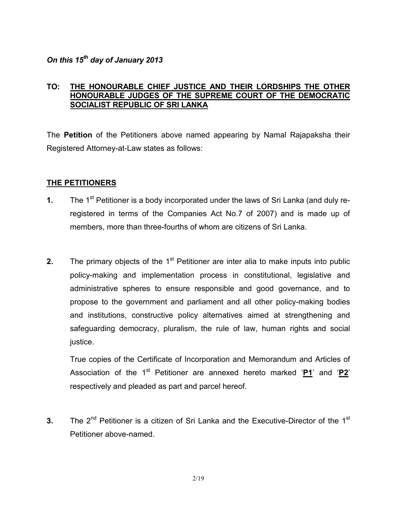# *On this 15th day of January 2013*

### **TO: THE HONOURABLE CHIEF JUSTICE AND THEIR LORDSHIPS THE OTHER HONOURABLE JUDGES OF THE SUPREME COURT OF THE DEMOCRATIC SOCIALIST REPUBLIC OF SRI LANKA**

The **Petition** of the Petitioners above named appearing by Namal Rajapaksha their Registered Attorney-at-Law states as follows:

## **THE PETITIONERS**

- **1.** The 1<sup>st</sup> Petitioner is a body incorporated under the laws of Sri Lanka (and duly reregistered in terms of the Companies Act No.7 of 2007) and is made up of members, more than three-fourths of whom are citizens of Sri Lanka.
- **2.** The primary objects of the 1<sup>st</sup> Petitioner are inter alia to make inputs into public policy-making and implementation process in constitutional, legislative and administrative spheres to ensure responsible and good governance, and to propose to the government and parliament and all other policy-making bodies and institutions, constructive policy alternatives aimed at strengthening and safeguarding democracy, pluralism, the rule of law, human rights and social justice.

 True copies of the Certificate of Incorporation and Memorandum and Articles of Association of the 1<sup>st</sup> Petitioner are annexed hereto marked 'P1' and 'P2' respectively and pleaded as part and parcel hereof.

**3.** The 2<sup>nd</sup> Petitioner is a citizen of Sri Lanka and the Executive-Director of the 1<sup>st</sup> Petitioner above-named.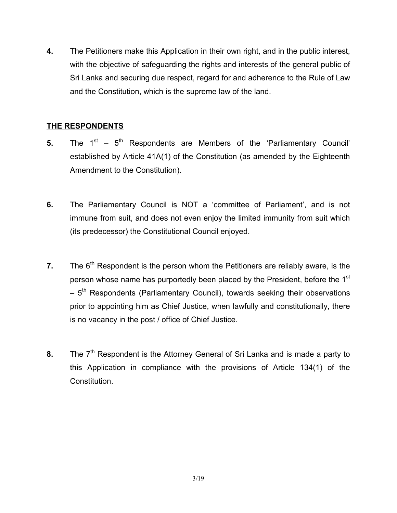**4.** The Petitioners make this Application in their own right, and in the public interest, with the objective of safeguarding the rights and interests of the general public of Sri Lanka and securing due respect, regard for and adherence to the Rule of Law and the Constitution, which is the supreme law of the land.

# **THE RESPONDENTS**

- **5.** The 1<sup>st</sup> 5<sup>th</sup> Respondents are Members of the 'Parliamentary Council' established by Article 41A(1) of the Constitution (as amended by the Eighteenth Amendment to the Constitution).
- **6.** The Parliamentary Council is NOT a 'committee of Parliament', and is not immune from suit, and does not even enjoy the limited immunity from suit which (its predecessor) the Constitutional Council enjoyed.
- **7.** The 6<sup>th</sup> Respondent is the person whom the Petitioners are reliably aware, is the person whose name has purportedly been placed by the President, before the 1<sup>st</sup>  $-5$ <sup>th</sup> Respondents (Parliamentary Council), towards seeking their observations prior to appointing him as Chief Justice, when lawfully and constitutionally, there is no vacancy in the post / office of Chief Justice.
- **8.** The 7<sup>th</sup> Respondent is the Attorney General of Sri Lanka and is made a party to this Application in compliance with the provisions of Article 134(1) of the Constitution.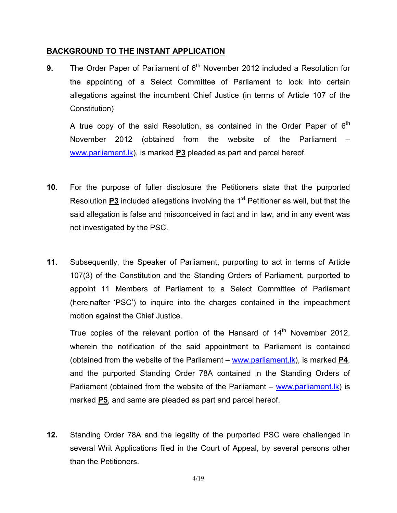#### **BACKGROUND TO THE INSTANT APPLICATION**

**9.** The Order Paper of Parliament of 6<sup>th</sup> November 2012 included a Resolution for the appointing of a Select Committee of Parliament to look into certain allegations against the incumbent Chief Justice (in terms of Article 107 of the Constitution)

A true copy of the said Resolution, as contained in the Order Paper of  $6<sup>th</sup>$ November 2012 (obtained from the website of the Parliament – www.parliament.lk), is marked **P3** pleaded as part and parcel hereof.

- **10.** For the purpose of fuller disclosure the Petitioners state that the purported Resolution **P3** included allegations involving the 1<sup>st</sup> Petitioner as well, but that the said allegation is false and misconceived in fact and in law, and in any event was not investigated by the PSC.
- **11.** Subsequently, the Speaker of Parliament, purporting to act in terms of Article 107(3) of the Constitution and the Standing Orders of Parliament, purported to appoint 11 Members of Parliament to a Select Committee of Parliament (hereinafter 'PSC') to inquire into the charges contained in the impeachment motion against the Chief Justice.

True copies of the relevant portion of the Hansard of  $14<sup>th</sup>$  November 2012, wherein the notification of the said appointment to Parliament is contained (obtained from the website of the Parliament – www.parliament.lk), is marked **P4**, and the purported Standing Order 78A contained in the Standing Orders of Parliament (obtained from the website of the Parliament – www.parliament. Ik) is marked **P5**, and same are pleaded as part and parcel hereof.

**12.** Standing Order 78A and the legality of the purported PSC were challenged in several Writ Applications filed in the Court of Appeal, by several persons other than the Petitioners.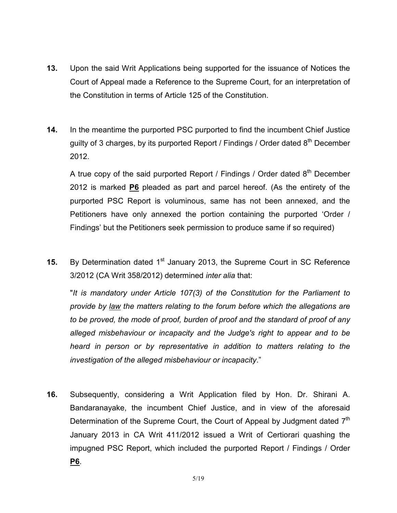- **13.** Upon the said Writ Applications being supported for the issuance of Notices the Court of Appeal made a Reference to the Supreme Court, for an interpretation of the Constitution in terms of Article 125 of the Constitution.
- **14.** In the meantime the purported PSC purported to find the incumbent Chief Justice guilty of 3 charges, by its purported Report / Findings / Order dated  $8<sup>th</sup>$  December 2012.

A true copy of the said purported Report / Findings / Order dated  $8<sup>th</sup>$  December 2012 is marked **P6** pleaded as part and parcel hereof. (As the entirety of the purported PSC Report is voluminous, same has not been annexed, and the Petitioners have only annexed the portion containing the purported 'Order / Findings' but the Petitioners seek permission to produce same if so required)

**15.** By Determination dated 1<sup>st</sup> January 2013, the Supreme Court in SC Reference 3/2012 (CA Writ 358/2012) determined *inter alia* that:

"*It is mandatory under Article 107(3) of the Constitution for the Parliament to provide by law the matters relating to the forum before which the allegations are to be proved, the mode of proof, burden of proof and the standard of proof of any alleged misbehaviour or incapacity and the Judge's right to appear and to be heard in person or by representative in addition to matters relating to the investigation of the alleged misbehaviour or incapacity*."

**16.** Subsequently, considering a Writ Application filed by Hon. Dr. Shirani A. Bandaranayake, the incumbent Chief Justice, and in view of the aforesaid Determination of the Supreme Court, the Court of Appeal by Judgment dated  $7<sup>th</sup>$ January 2013 in CA Writ 411/2012 issued a Writ of Certiorari quashing the impugned PSC Report, which included the purported Report / Findings / Order **P6**.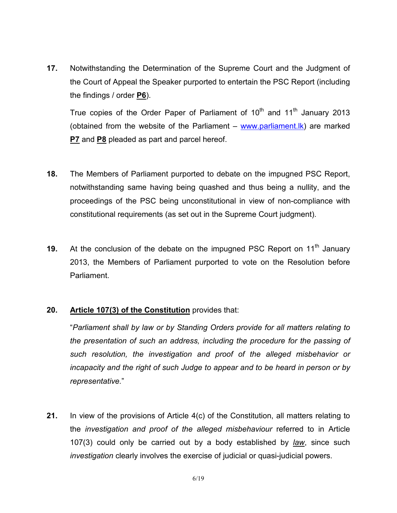**17.** Notwithstanding the Determination of the Supreme Court and the Judgment of the Court of Appeal the Speaker purported to entertain the PSC Report (including the findings / order **P6**).

True copies of the Order Paper of Parliament of  $10<sup>th</sup>$  and  $11<sup>th</sup>$  January 2013 (obtained from the website of the Parliament  $-$  www.parliament. Ik) are marked **P7** and **P8** pleaded as part and parcel hereof.

- **18.** The Members of Parliament purported to debate on the impugned PSC Report, notwithstanding same having being quashed and thus being a nullity, and the proceedings of the PSC being unconstitutional in view of non-compliance with constitutional requirements (as set out in the Supreme Court judgment).
- **19.** At the conclusion of the debate on the impugned PSC Report on 11<sup>th</sup> January 2013, the Members of Parliament purported to vote on the Resolution before Parliament.

## **20. Article 107(3) of the Constitution** provides that:

"*Parliament shall by law or by Standing Orders provide for all matters relating to the presentation of such an address, including the procedure for the passing of such resolution, the investigation and proof of the alleged misbehavior or incapacity and the right of such Judge to appear and to be heard in person or by representative.*"

**21.** In view of the provisions of Article 4(c) of the Constitution, all matters relating to the *investigation and proof of the alleged misbehaviour* referred to in Article 107(3) could only be carried out by a body established by *law*, since such *investigation* clearly involves the exercise of judicial or quasi-judicial powers.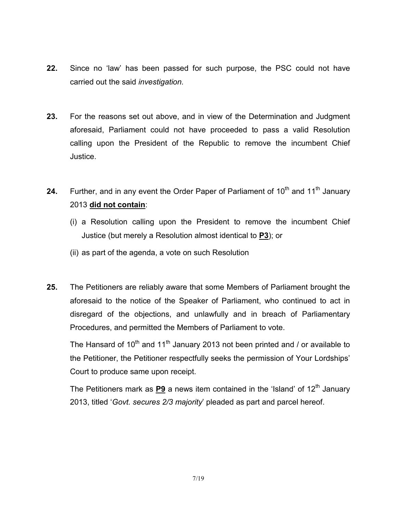- **22.** Since no 'law' has been passed for such purpose, the PSC could not have carried out the said *investigation.*
- **23.** For the reasons set out above, and in view of the Determination and Judgment aforesaid, Parliament could not have proceeded to pass a valid Resolution calling upon the President of the Republic to remove the incumbent Chief Justice.
- **24.** Further, and in any event the Order Paper of Parliament of 10<sup>th</sup> and 11<sup>th</sup> January 2013 **did not contain**:
	- (i) a Resolution calling upon the President to remove the incumbent Chief Justice (but merely a Resolution almost identical to **P3**); or
	- (ii) as part of the agenda, a vote on such Resolution
- **25.** The Petitioners are reliably aware that some Members of Parliament brought the aforesaid to the notice of the Speaker of Parliament, who continued to act in disregard of the objections, and unlawfully and in breach of Parliamentary Procedures, and permitted the Members of Parliament to vote.

The Hansard of 10<sup>th</sup> and 11<sup>th</sup> January 2013 not been printed and / or available to the Petitioner, the Petitioner respectfully seeks the permission of Your Lordships' Court to produce same upon receipt.

The Petitioners mark as **P9** a news item contained in the 'Island' of 12th January 2013, titled '*Govt. secures 2/3 majority*' pleaded as part and parcel hereof.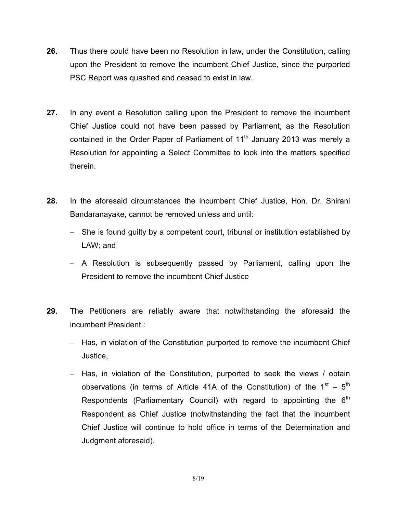- **26.** Thus there could have been no Resolution in law, under the Constitution, calling upon the President to remove the incumbent Chief Justice, since the purported PSC Report was quashed and ceased to exist in law.
- **27.** In any event a Resolution calling upon the President to remove the incumbent Chief Justice could not have been passed by Parliament, as the Resolution contained in the Order Paper of Parliament of 11<sup>th</sup> January 2013 was merely a Resolution for appointing a Select Committee to look into the matters specified therein.
- **28.** In the aforesaid circumstances the incumbent Chief Justice, Hon. Dr. Shirani Bandaranayake, cannot be removed unless and until:
	- − She is found guilty by a competent court, tribunal or institution established by LAW; and
	- − A Resolution is subsequently passed by Parliament, calling upon the President to remove the incumbent Chief Justice
- **29.** The Petitioners are reliably aware that notwithstanding the aforesaid the incumbent President :
	- − Has, in violation of the Constitution purported to remove the incumbent Chief Justice,
	- − Has, in violation of the Constitution, purported to seek the views / obtain observations (in terms of Article 41A of the Constitution) of the  $1<sup>st</sup> - 5<sup>th</sup>$ Respondents (Parliamentary Council) with regard to appointing the  $6<sup>th</sup>$ Respondent as Chief Justice (notwithstanding the fact that the incumbent Chief Justice will continue to hold office in terms of the Determination and Judgment aforesaid).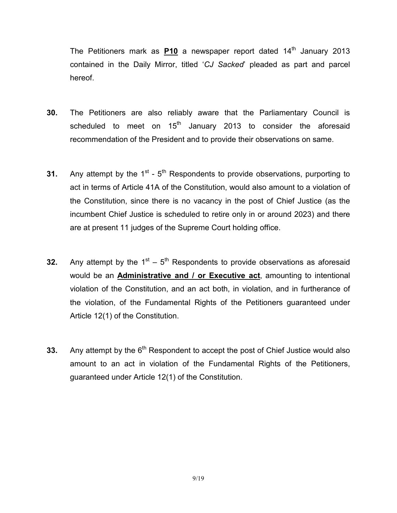The Petitioners mark as **P10** a newspaper report dated 14<sup>th</sup> January 2013 contained in the Daily Mirror, titled '*CJ Sacked*' pleaded as part and parcel hereof.

- **30.** The Petitioners are also reliably aware that the Parliamentary Council is scheduled to meet on  $15<sup>th</sup>$  January 2013 to consider the aforesaid recommendation of the President and to provide their observations on same.
- **31.** Any attempt by the 1<sup>st</sup> 5<sup>th</sup> Respondents to provide observations, purporting to act in terms of Article 41A of the Constitution, would also amount to a violation of the Constitution, since there is no vacancy in the post of Chief Justice (as the incumbent Chief Justice is scheduled to retire only in or around 2023) and there are at present 11 judges of the Supreme Court holding office.
- **32.** Any attempt by the  $1<sup>st</sup> 5<sup>th</sup>$  Respondents to provide observations as aforesaid would be an **Administrative and / or Executive act**, amounting to intentional violation of the Constitution, and an act both, in violation, and in furtherance of the violation, of the Fundamental Rights of the Petitioners guaranteed under Article 12(1) of the Constitution.
- **33.** Any attempt by the 6<sup>th</sup> Respondent to accept the post of Chief Justice would also amount to an act in violation of the Fundamental Rights of the Petitioners, guaranteed under Article 12(1) of the Constitution.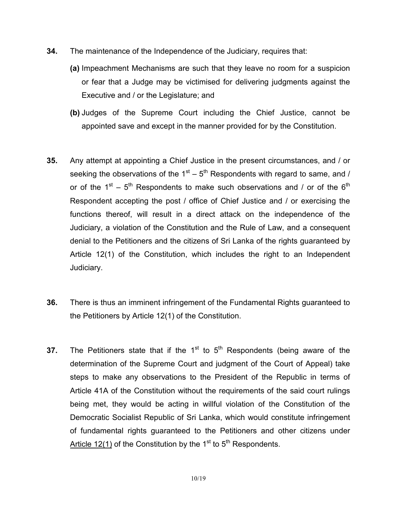- **34.** The maintenance of the Independence of the Judiciary, requires that:
	- **(a)** Impeachment Mechanisms are such that they leave no room for a suspicion or fear that a Judge may be victimised for delivering judgments against the Executive and / or the Legislature; and
	- **(b)** Judges of the Supreme Court including the Chief Justice, cannot be appointed save and except in the manner provided for by the Constitution.
- **35.** Any attempt at appointing a Chief Justice in the present circumstances, and / or seeking the observations of the  $1<sup>st</sup> - 5<sup>th</sup>$  Respondents with regard to same, and / or of the  $1<sup>st</sup> - 5<sup>th</sup>$  Respondents to make such observations and / or of the 6<sup>th</sup> Respondent accepting the post / office of Chief Justice and / or exercising the functions thereof, will result in a direct attack on the independence of the Judiciary, a violation of the Constitution and the Rule of Law, and a consequent denial to the Petitioners and the citizens of Sri Lanka of the rights guaranteed by Article 12(1) of the Constitution, which includes the right to an Independent Judiciary.
- **36.** There is thus an imminent infringement of the Fundamental Rights guaranteed to the Petitioners by Article 12(1) of the Constitution.
- **37.** The Petitioners state that if the 1<sup>st</sup> to 5<sup>th</sup> Respondents (being aware of the determination of the Supreme Court and judgment of the Court of Appeal) take steps to make any observations to the President of the Republic in terms of Article 41A of the Constitution without the requirements of the said court rulings being met, they would be acting in willful violation of the Constitution of the Democratic Socialist Republic of Sri Lanka, which would constitute infringement of fundamental rights guaranteed to the Petitioners and other citizens under Article 12(1) of the Constitution by the  $1<sup>st</sup>$  to  $5<sup>th</sup>$  Respondents.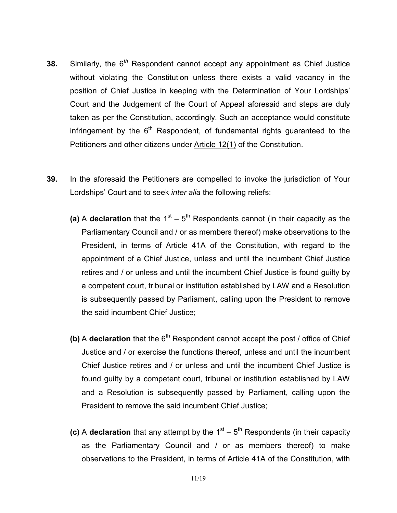- **38.** Similarly, the 6*th* Respondent cannot accept any appointment as Chief Justice without violating the Constitution unless there exists a valid vacancy in the position of Chief Justice in keeping with the Determination of Your Lordships' Court and the Judgement of the Court of Appeal aforesaid and steps are duly taken as per the Constitution, accordingly. Such an acceptance would constitute infringement by the  $6<sup>th</sup>$  Respondent, of fundamental rights guaranteed to the Petitioners and other citizens under Article 12(1) of the Constitution.
- **39.** In the aforesaid the Petitioners are compelled to invoke the jurisdiction of Your Lordships' Court and to seek *inter alia* the following reliefs:
	- (a) A **declaration** that the  $1<sup>st</sup> 5<sup>th</sup>$  Respondents cannot (in their capacity as the Parliamentary Council and / or as members thereof) make observations to the President, in terms of Article 41A of the Constitution, with regard to the appointment of a Chief Justice, unless and until the incumbent Chief Justice retires and / or unless and until the incumbent Chief Justice is found guilty by a competent court, tribunal or institution established by LAW and a Resolution is subsequently passed by Parliament, calling upon the President to remove the said incumbent Chief Justice;
	- **(b)** A **declaration** that the 6<sup>th</sup> Respondent cannot accept the post / office of Chief Justice and / or exercise the functions thereof, unless and until the incumbent Chief Justice retires and / or unless and until the incumbent Chief Justice is found guilty by a competent court, tribunal or institution established by LAW and a Resolution is subsequently passed by Parliament, calling upon the President to remove the said incumbent Chief Justice;
	- **(c)** A **declaration** that any attempt by the  $1<sup>st</sup> 5<sup>th</sup>$  Respondents (in their capacity as the Parliamentary Council and / or as members thereof) to make observations to the President, in terms of Article 41A of the Constitution, with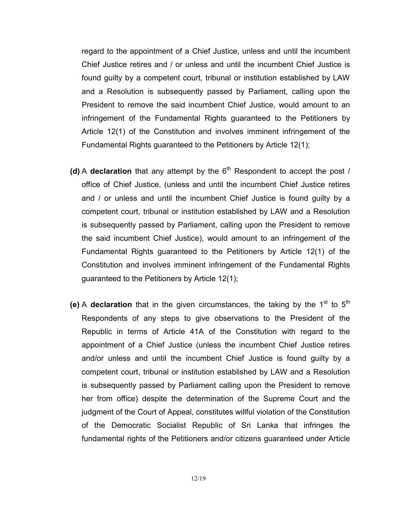regard to the appointment of a Chief Justice, unless and until the incumbent Chief Justice retires and / or unless and until the incumbent Chief Justice is found guilty by a competent court, tribunal or institution established by LAW and a Resolution is subsequently passed by Parliament, calling upon the President to remove the said incumbent Chief Justice, would amount to an infringement of the Fundamental Rights guaranteed to the Petitioners by Article 12(1) of the Constitution and involves imminent infringement of the Fundamental Rights guaranteed to the Petitioners by Article 12(1);

- **(d)** A **declaration** that any attempt by the  $6<sup>th</sup>$  Respondent to accept the post / office of Chief Justice, (unless and until the incumbent Chief Justice retires and / or unless and until the incumbent Chief Justice is found guilty by a competent court, tribunal or institution established by LAW and a Resolution is subsequently passed by Parliament, calling upon the President to remove the said incumbent Chief Justice), would amount to an infringement of the Fundamental Rights guaranteed to the Petitioners by Article 12(1) of the Constitution and involves imminent infringement of the Fundamental Rights guaranteed to the Petitioners by Article 12(1);
- **(e)** A **declaration** that in the given circumstances, the taking by the  $1<sup>st</sup>$  to  $5<sup>th</sup>$ Respondents of any steps to give observations to the President of the Republic in terms of Article 41A of the Constitution with regard to the appointment of a Chief Justice (unless the incumbent Chief Justice retires and/or unless and until the incumbent Chief Justice is found guilty by a competent court, tribunal or institution established by LAW and a Resolution is subsequently passed by Parliament calling upon the President to remove her from office) despite the determination of the Supreme Court and the judgment of the Court of Appeal, constitutes willful violation of the Constitution of the Democratic Socialist Republic of Sri Lanka that infringes the fundamental rights of the Petitioners and/or citizens guaranteed under Article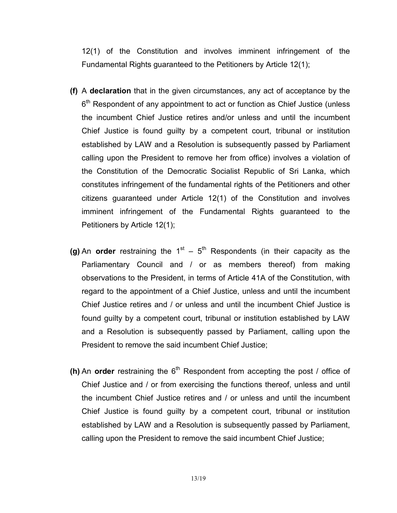12(1) of the Constitution and involves imminent infringement of the Fundamental Rights guaranteed to the Petitioners by Article 12(1);

- **(f)** A **declaration** that in the given circumstances, any act of acceptance by the 6<sup>th</sup> Respondent of any appointment to act or function as Chief Justice (unless the incumbent Chief Justice retires and/or unless and until the incumbent Chief Justice is found guilty by a competent court, tribunal or institution established by LAW and a Resolution is subsequently passed by Parliament calling upon the President to remove her from office) involves a violation of the Constitution of the Democratic Socialist Republic of Sri Lanka, which constitutes infringement of the fundamental rights of the Petitioners and other citizens guaranteed under Article 12(1) of the Constitution and involves imminent infringement of the Fundamental Rights guaranteed to the Petitioners by Article 12(1);
- **(g)** An **order** restraining the  $1<sup>st</sup> 5<sup>th</sup>$  Respondents (in their capacity as the Parliamentary Council and / or as members thereof) from making observations to the President, in terms of Article 41A of the Constitution, with regard to the appointment of a Chief Justice, unless and until the incumbent Chief Justice retires and / or unless and until the incumbent Chief Justice is found guilty by a competent court, tribunal or institution established by LAW and a Resolution is subsequently passed by Parliament, calling upon the President to remove the said incumbent Chief Justice;
- **(h)** An **order** restraining the  $6<sup>th</sup>$  Respondent from accepting the post / office of Chief Justice and / or from exercising the functions thereof, unless and until the incumbent Chief Justice retires and / or unless and until the incumbent Chief Justice is found guilty by a competent court, tribunal or institution established by LAW and a Resolution is subsequently passed by Parliament, calling upon the President to remove the said incumbent Chief Justice;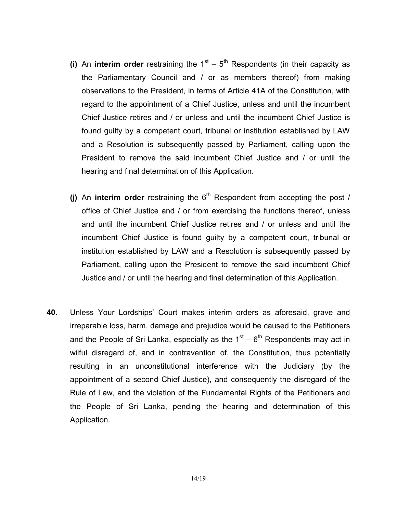- **(i)** An **interim order** restraining the  $1<sup>st</sup> 5<sup>th</sup>$  Respondents (in their capacity as the Parliamentary Council and / or as members thereof) from making observations to the President, in terms of Article 41A of the Constitution, with regard to the appointment of a Chief Justice, unless and until the incumbent Chief Justice retires and / or unless and until the incumbent Chief Justice is found guilty by a competent court, tribunal or institution established by LAW and a Resolution is subsequently passed by Parliament, calling upon the President to remove the said incumbent Chief Justice and / or until the hearing and final determination of this Application.
- **(i)** An **interim order** restraining the  $6<sup>th</sup>$  Respondent from accepting the post / office of Chief Justice and / or from exercising the functions thereof, unless and until the incumbent Chief Justice retires and / or unless and until the incumbent Chief Justice is found guilty by a competent court, tribunal or institution established by LAW and a Resolution is subsequently passed by Parliament, calling upon the President to remove the said incumbent Chief Justice and / or until the hearing and final determination of this Application.
- **40.** Unless Your Lordships' Court makes interim orders as aforesaid, grave and irreparable loss, harm, damage and prejudice would be caused to the Petitioners and the People of Sri Lanka, especially as the  $1<sup>st</sup> - 6<sup>th</sup>$  Respondents may act in wilful disregard of, and in contravention of, the Constitution, thus potentially resulting in an unconstitutional interference with the Judiciary (by the appointment of a second Chief Justice), and consequently the disregard of the Rule of Law, and the violation of the Fundamental Rights of the Petitioners and the People of Sri Lanka, pending the hearing and determination of this Application.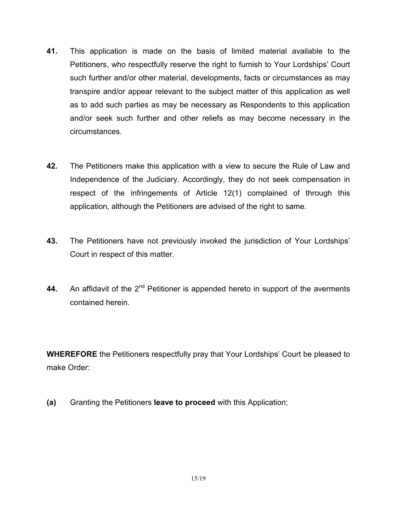- **41.** This application is made on the basis of limited material available to the Petitioners, who respectfully reserve the right to furnish to Your Lordships' Court such further and/or other material, developments, facts or circumstances as may transpire and/or appear relevant to the subject matter of this application as well as to add such parties as may be necessary as Respondents to this application and/or seek such further and other reliefs as may become necessary in the circumstances.
- **42.** The Petitioners make this application with a view to secure the Rule of Law and Independence of the Judiciary. Accordingly, they do not seek compensation in respect of the infringements of Article 12(1) complained of through this application, although the Petitioners are advised of the right to same.
- **43.** The Petitioners have not previously invoked the jurisdiction of Your Lordships' Court in respect of this matter.
- **44.** An affidavit of the 2<sup>nd</sup> Petitioner is appended hereto in support of the averments contained herein.

**WHEREFORE** the Petitioners respectfully pray that Your Lordships' Court be pleased to make Order:

**(a)** Granting the Petitioners **leave to proceed** with this Application;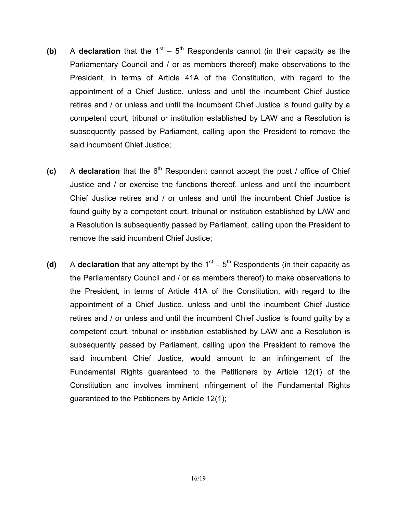- **(b)** A **declaration** that the  $1<sup>st</sup> 5<sup>th</sup>$  Respondents cannot (in their capacity as the Parliamentary Council and / or as members thereof) make observations to the President, in terms of Article 41A of the Constitution, with regard to the appointment of a Chief Justice, unless and until the incumbent Chief Justice retires and / or unless and until the incumbent Chief Justice is found guilty by a competent court, tribunal or institution established by LAW and a Resolution is subsequently passed by Parliament, calling upon the President to remove the said incumbent Chief Justice;
- **(c)** A **declaration** that the 6<sup>th</sup> Respondent cannot accept the post / office of Chief Justice and / or exercise the functions thereof, unless and until the incumbent Chief Justice retires and / or unless and until the incumbent Chief Justice is found guilty by a competent court, tribunal or institution established by LAW and a Resolution is subsequently passed by Parliament, calling upon the President to remove the said incumbent Chief Justice;
- **(d)** A **declaration** that any attempt by the  $1<sup>st</sup> 5<sup>th</sup>$  Respondents (in their capacity as the Parliamentary Council and / or as members thereof) to make observations to the President, in terms of Article 41A of the Constitution, with regard to the appointment of a Chief Justice, unless and until the incumbent Chief Justice retires and / or unless and until the incumbent Chief Justice is found guilty by a competent court, tribunal or institution established by LAW and a Resolution is subsequently passed by Parliament, calling upon the President to remove the said incumbent Chief Justice, would amount to an infringement of the Fundamental Rights guaranteed to the Petitioners by Article 12(1) of the Constitution and involves imminent infringement of the Fundamental Rights guaranteed to the Petitioners by Article 12(1);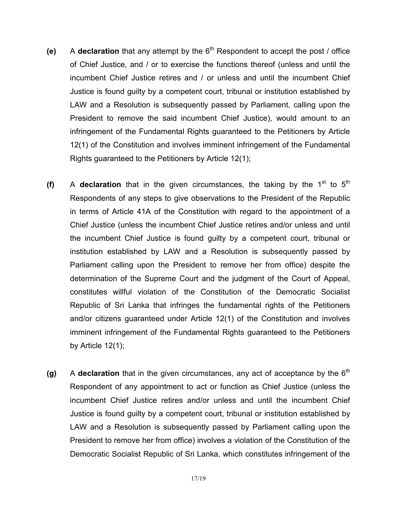- **(e)** A **declaration** that any attempt by the  $6<sup>th</sup>$  Respondent to accept the post / office of Chief Justice, and / or to exercise the functions thereof (unless and until the incumbent Chief Justice retires and / or unless and until the incumbent Chief Justice is found guilty by a competent court, tribunal or institution established by LAW and a Resolution is subsequently passed by Parliament, calling upon the President to remove the said incumbent Chief Justice), would amount to an infringement of the Fundamental Rights guaranteed to the Petitioners by Article 12(1) of the Constitution and involves imminent infringement of the Fundamental Rights guaranteed to the Petitioners by Article 12(1);
- **(f)** A **declaration** that in the given circumstances, the taking by the 1<sup>st</sup> to 5<sup>th</sup> Respondents of any steps to give observations to the President of the Republic in terms of Article 41A of the Constitution with regard to the appointment of a Chief Justice (unless the incumbent Chief Justice retires and/or unless and until the incumbent Chief Justice is found guilty by a competent court, tribunal or institution established by LAW and a Resolution is subsequently passed by Parliament calling upon the President to remove her from office) despite the determination of the Supreme Court and the judgment of the Court of Appeal, constitutes willful violation of the Constitution of the Democratic Socialist Republic of Sri Lanka that infringes the fundamental rights of the Petitioners and/or citizens guaranteed under Article 12(1) of the Constitution and involves imminent infringement of the Fundamental Rights guaranteed to the Petitioners by Article 12(1);
- **(g)** A **declaration** that in the given circumstances, any act of acceptance by the 6<sup>th</sup> Respondent of any appointment to act or function as Chief Justice (unless the incumbent Chief Justice retires and/or unless and until the incumbent Chief Justice is found guilty by a competent court, tribunal or institution established by LAW and a Resolution is subsequently passed by Parliament calling upon the President to remove her from office) involves a violation of the Constitution of the Democratic Socialist Republic of Sri Lanka, which constitutes infringement of the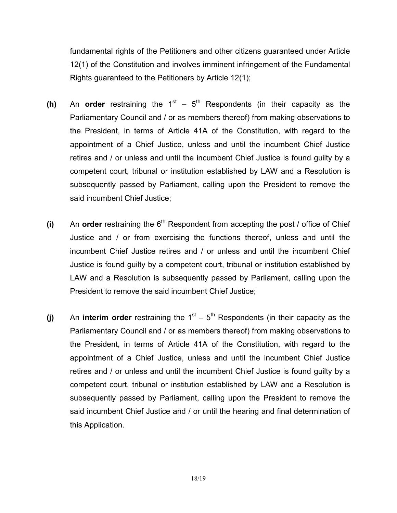fundamental rights of the Petitioners and other citizens guaranteed under Article 12(1) of the Constitution and involves imminent infringement of the Fundamental Rights guaranteed to the Petitioners by Article 12(1);

- **(h)** An **order** restraining the  $1<sup>st</sup> 5<sup>th</sup>$  Respondents (in their capacity as the Parliamentary Council and / or as members thereof) from making observations to the President, in terms of Article 41A of the Constitution, with regard to the appointment of a Chief Justice, unless and until the incumbent Chief Justice retires and / or unless and until the incumbent Chief Justice is found guilty by a competent court, tribunal or institution established by LAW and a Resolution is subsequently passed by Parliament, calling upon the President to remove the said incumbent Chief Justice;
- **(i)** An **order** restraining the 6<sup>th</sup> Respondent from accepting the post / office of Chief Justice and / or from exercising the functions thereof, unless and until the incumbent Chief Justice retires and / or unless and until the incumbent Chief Justice is found guilty by a competent court, tribunal or institution established by LAW and a Resolution is subsequently passed by Parliament, calling upon the President to remove the said incumbent Chief Justice;
- **(j)** An **interim order** restraining the  $1<sup>st</sup> 5<sup>th</sup>$  Respondents (in their capacity as the Parliamentary Council and / or as members thereof) from making observations to the President, in terms of Article 41A of the Constitution, with regard to the appointment of a Chief Justice, unless and until the incumbent Chief Justice retires and / or unless and until the incumbent Chief Justice is found guilty by a competent court, tribunal or institution established by LAW and a Resolution is subsequently passed by Parliament, calling upon the President to remove the said incumbent Chief Justice and / or until the hearing and final determination of this Application.